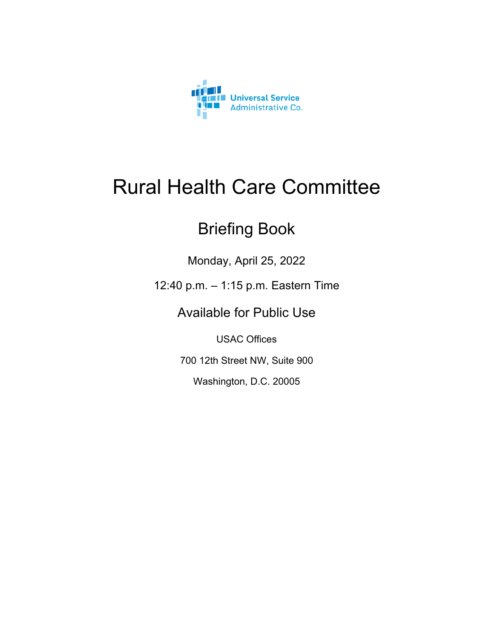

### Rural Health Care Committee

### Briefing Book

Monday, April 25, 2022

12:40 p.m. – 1:15 p.m. Eastern Time

Available for Public Use

USAC Offices

700 12th Street NW, Suite 900

Washington, D.C. 20005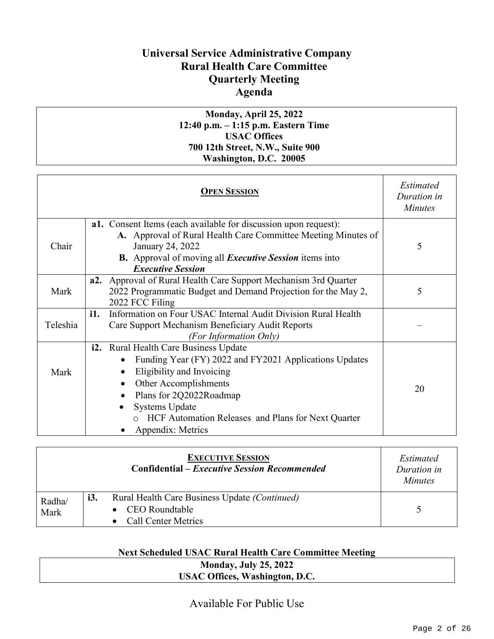### **Universal Service Administrative Company Rural Health Care Committee Quarterly Meeting Agenda**

#### **Monday, April 25, 2022 12:40 p.m. – 1:15 p.m. Eastern Time USAC Offices 700 12th Street, N.W., Suite 900 Washington, D.C. 20005**

|          | <b>OPEN SESSION</b>                                                                                                                                                                                                                                                                     | <i>Estimated</i><br>Duration in<br><b>Minutes</b> |
|----------|-----------------------------------------------------------------------------------------------------------------------------------------------------------------------------------------------------------------------------------------------------------------------------------------|---------------------------------------------------|
| Chair    | a1. Consent Items (each available for discussion upon request):<br>A. Approval of Rural Health Care Committee Meeting Minutes of<br>January 24, 2022<br><b>B.</b> Approval of moving all <i>Executive Session</i> items into<br><b>Executive Session</b>                                | 5                                                 |
| Mark     | Approval of Rural Health Care Support Mechanism 3rd Quarter<br>a2.<br>2022 Programmatic Budget and Demand Projection for the May 2,<br>2022 FCC Filing                                                                                                                                  | 5                                                 |
| Teleshia | Information on Four USAC Internal Audit Division Rural Health<br>i1.<br>Care Support Mechanism Beneficiary Audit Reports<br>(For Information Only)                                                                                                                                      |                                                   |
| Mark     | Rural Health Care Business Update<br>i2.<br>Funding Year (FY) 2022 and FY2021 Applications Updates<br>Eligibility and Invoicing<br>Other Accomplishments<br>Plans for 2Q2022Roadmap<br><b>Systems Update</b><br>HCF Automation Releases and Plans for Next Quarter<br>Appendix: Metrics | 20                                                |

|        |            | <b>EXECUTIVE SESSION</b><br><b>Confidential – Executive Session Recommended</b> | <i>Estimated</i><br>Duration in<br><i>Minutes</i> |
|--------|------------|---------------------------------------------------------------------------------|---------------------------------------------------|
| Radha/ | <i>i3.</i> | Rural Health Care Business Update (Continued)                                   |                                                   |
| Mark   |            | CEO Roundtable                                                                  |                                                   |
|        |            | • Call Center Metrics                                                           |                                                   |

#### **Next Scheduled USAC Rural Health Care Committee Meeting**

| <b>Monday, July 25, 2022</b>          |  |
|---------------------------------------|--|
| <b>USAC Offices, Washington, D.C.</b> |  |

Available For Public Use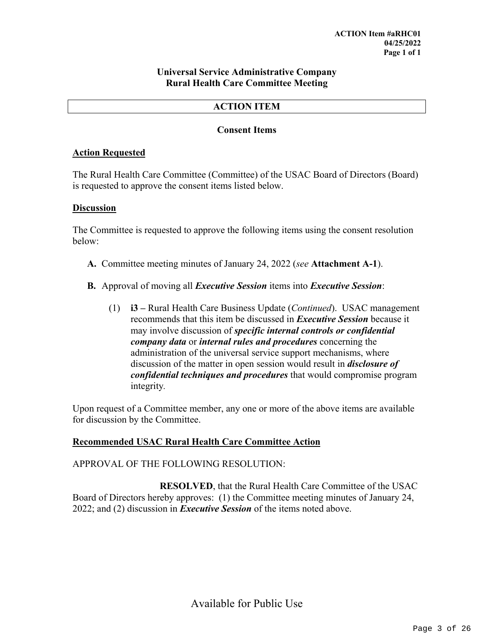#### **Universal Service Administrative Company Rural Health Care Committee Meeting**

#### **ACTION ITEM**

#### **Consent Items**

#### **Action Requested**

The Rural Health Care Committee (Committee) of the USAC Board of Directors (Board) is requested to approve the consent items listed below.

#### **Discussion**

The Committee is requested to approve the following items using the consent resolution below:

- **A.** Committee meeting minutes of January 24, 2022 (*see* **Attachment A-1**).
- **B.** Approval of moving all *Executive Session* items into *Executive Session*:
	- (1) **i3 –** Rural Health Care Business Update (*Continued*). USAC management recommends that this item be discussed in *Executive Session* because it may involve discussion of *specific internal controls or confidential company data* or *internal rules and procedures* concerning the administration of the universal service support mechanisms, where discussion of the matter in open session would result in *disclosure of confidential techniques and procedures* that would compromise program integrity*.*

Upon request of a Committee member, any one or more of the above items are available for discussion by the Committee.

#### **Recommended USAC Rural Health Care Committee Action**

APPROVAL OF THE FOLLOWING RESOLUTION:

**RESOLVED**, that the Rural Health Care Committee of the USAC Board of Directors hereby approves: (1) the Committee meeting minutes of January 24, 2022; and (2) discussion in *Executive Session* of the items noted above.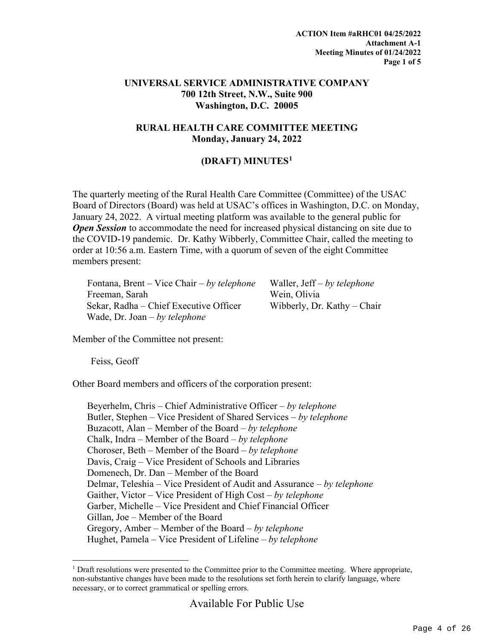#### **UNIVERSAL SERVICE ADMINISTRATIVE COMPANY 700 12th Street, N.W., Suite 900 Washington, D.C. 20005**

#### **RURAL HEALTH CARE COMMITTEE MEETING Monday, January 24, 2022**

#### **(DRAFT) MINUTES[1](#page-3-0)**

The quarterly meeting of the Rural Health Care Committee (Committee) of the USAC Board of Directors (Board) was held at USAC's offices in Washington, D.C. on Monday, January 24, 2022. A virtual meeting platform was available to the general public for *Open Session* to accommodate the need for increased physical distancing on site due to the COVID-19 pandemic. Dr. Kathy Wibberly, Committee Chair, called the meeting to order at 10:56 a.m. Eastern Time, with a quorum of seven of the eight Committee members present:

Fontana, Brent – Vice Chair – *by telephone* Waller, Jeff – *by telephone* Freeman, Sarah Wein, Olivia Sekar, Radha – Chief Executive Officer Wibberly, Dr. Kathy – Chair Wade, Dr. Joan – *by telephone*

Member of the Committee not present:

Feiss, Geoff

Other Board members and officers of the corporation present:

Beyerhelm, Chris – Chief Administrative Officer – *by telephone* Butler, Stephen – Vice President of Shared Services – *by telephone* Buzacott, Alan – Member of the Board – *by telephone* Chalk, Indra – Member of the Board – *by telephone* Choroser, Beth – Member of the Board – *by telephone* Davis, Craig – Vice President of Schools and Libraries Domenech, Dr. Dan – Member of the Board Delmar, Teleshia – Vice President of Audit and Assurance – *by telephone* Gaither, Victor – Vice President of High Cost – *by telephone* Garber, Michelle – Vice President and Chief Financial Officer Gillan, Joe – Member of the Board Gregory, Amber – Member of the Board – *by telephone* Hughet, Pamela – Vice President of Lifeline – *by telephone*

<span id="page-3-0"></span><sup>&</sup>lt;sup>1</sup> Draft resolutions were presented to the Committee prior to the Committee meeting. Where appropriate, non-substantive changes have been made to the resolutions set forth herein to clarify language, where necessary, or to correct grammatical or spelling errors.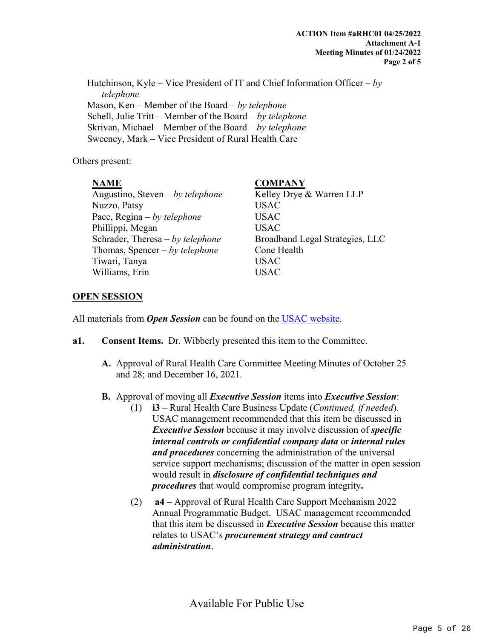Hutchinson, Kyle – Vice President of IT and Chief Information Officer – *by telephone* Mason, Ken – Member of the Board – *by telephone* Schell, Julie Tritt – Member of the Board – *by telephone* Skrivan, Michael – Member of the Board – *by telephone* Sweeney, Mark – Vice President of Rural Health Care

Others present:

#### **NAME COMPANY** Augustino, Steven – *by telephone* Kelley Drye & Warren LLP Nuzzo, Patsy USAC Pace, Regina – *by telephone* USAC Phillippi, Megan USAC Schrader, Theresa – by telephone Broadband Legal Strategies, LLC Thomas, Spencer – *by telephone* Cone Health Tiwari, Tanya USAC Williams, Erin USAC

#### **OPEN SESSION**

All materials from *Open Session* can be found on the [USAC website.](https://www.usac.org/about/leadership/board-materials/)

- **a1. Consent Items.** Dr. Wibberly presented this item to the Committee.
	- **A.** Approval of Rural Health Care Committee Meeting Minutes of October 25 and 28; and December 16, 2021.

#### **B.** Approval of moving all *Executive Session* items into *Executive Session*:

- (1) **i3**  Rural Health Care Business Update (*Continued, if needed*). USAC management recommended that this item be discussed in *Executive Session* because it may involve discussion of *specific internal controls or confidential company data* or *internal rules and procedures* concerning the administration of the universal service support mechanisms; discussion of the matter in open session would result in *disclosure of confidential techniques and procedures* that would compromise program integrity**.**
- (2) **a4**  Approval of Rural Health Care Support Mechanism 2022 Annual Programmatic Budget. USAC management recommended that this item be discussed in *Executive Session* because this matter relates to USAC's *procurement strategy and contract administration*.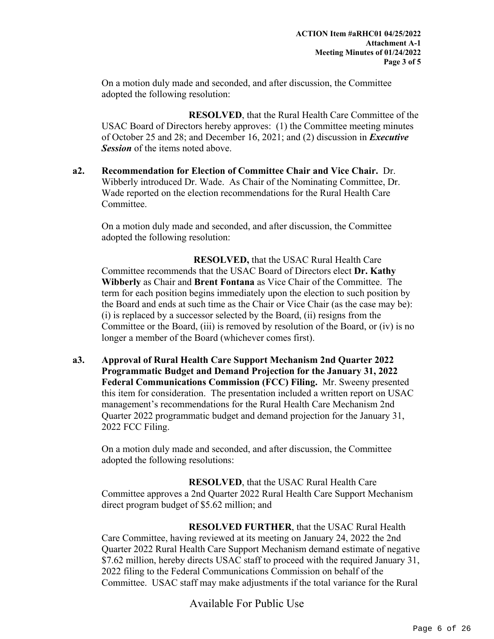On a motion duly made and seconded, and after discussion, the Committee adopted the following resolution:

**RESOLVED**, that the Rural Health Care Committee of the USAC Board of Directors hereby approves: (1) the Committee meeting minutes of October 25 and 28; and December 16, 2021; and (2) discussion in *Executive Session* of the items noted above.

**a2. Recommendation for Election of Committee Chair and Vice Chair.** Dr. Wibberly introduced Dr. Wade. As Chair of the Nominating Committee, Dr. Wade reported on the election recommendations for the Rural Health Care Committee.

On a motion duly made and seconded, and after discussion, the Committee adopted the following resolution:

**RESOLVED,** that the USAC Rural Health Care Committee recommends that the USAC Board of Directors elect **Dr. Kathy Wibberly** as Chair and **Brent Fontana** as Vice Chair of the Committee. The term for each position begins immediately upon the election to such position by the Board and ends at such time as the Chair or Vice Chair (as the case may be): (i) is replaced by a successor selected by the Board, (ii) resigns from the Committee or the Board, (iii) is removed by resolution of the Board, or (iv) is no longer a member of the Board (whichever comes first).

**a3. Approval of Rural Health Care Support Mechanism 2nd Quarter 2022 Programmatic Budget and Demand Projection for the January 31, 2022 Federal Communications Commission (FCC) Filing.** Mr. Sweeny presented this item for consideration. The presentation included a written report on USAC management's recommendations for the Rural Health Care Mechanism 2nd Quarter 2022 programmatic budget and demand projection for the January 31, 2022 FCC Filing.

On a motion duly made and seconded, and after discussion, the Committee adopted the following resolutions:

**RESOLVED**, that the USAC Rural Health Care Committee approves a 2nd Quarter 2022 Rural Health Care Support Mechanism direct program budget of \$5.62 million; and

**RESOLVED FURTHER**, that the USAC Rural Health Care Committee, having reviewed at its meeting on January 24, 2022 the 2nd Quarter 2022 Rural Health Care Support Mechanism demand estimate of negative \$7.62 million, hereby directs USAC staff to proceed with the required January 31, 2022 filing to the Federal Communications Commission on behalf of the Committee. USAC staff may make adjustments if the total variance for the Rural

Available For Public Use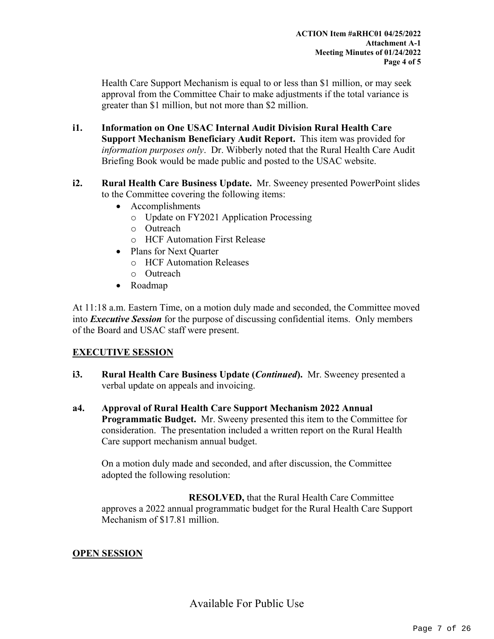Health Care Support Mechanism is equal to or less than \$1 million, or may seek approval from the Committee Chair to make adjustments if the total variance is greater than \$1 million, but not more than \$2 million.

- **i1. Information on One USAC Internal Audit Division Rural Health Care Support Mechanism Beneficiary Audit Report.** This item was provided for *information purposes only*. Dr. Wibberly noted that the Rural Health Care Audit Briefing Book would be made public and posted to the USAC website.
- **i2. Rural Health Care Business Update.** Mr. Sweeney presented PowerPoint slides to the Committee covering the following items:
	- Accomplishments
		- o Update on FY2021 Application Processing
		- o Outreach
		- o HCF Automation First Release
	- Plans for Next Quarter
		- o HCF Automation Releases
		- o Outreach
	- Roadmap

At 11:18 a.m. Eastern Time, on a motion duly made and seconded, the Committee moved into *Executive Session* for the purpose of discussing confidential items. Only members of the Board and USAC staff were present.

#### **EXECUTIVE SESSION**

- **i3. Rural Health Care Business Update (***Continued***).** Mr. Sweeney presented a verbal update on appeals and invoicing.
- **a4. Approval of Rural Health Care Support Mechanism 2022 Annual Programmatic Budget.** Mr. Sweeny presented this item to the Committee for consideration. The presentation included a written report on the Rural Health Care support mechanism annual budget.

On a motion duly made and seconded, and after discussion, the Committee adopted the following resolution:

**RESOLVED,** that the Rural Health Care Committee approves a 2022 annual programmatic budget for the Rural Health Care Support Mechanism of \$17.81 million.

#### **OPEN SESSION**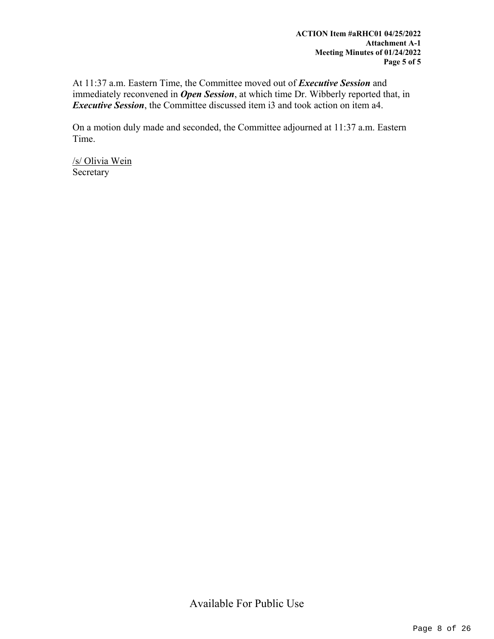At 11:37 a.m. Eastern Time, the Committee moved out of *Executive Session* and immediately reconvened in *Open Session*, at which time Dr. Wibberly reported that, in *Executive Session*, the Committee discussed item i3 and took action on item a4.

On a motion duly made and seconded, the Committee adjourned at 11:37 a.m. Eastern Time.

/s/ Olivia Wein Secretary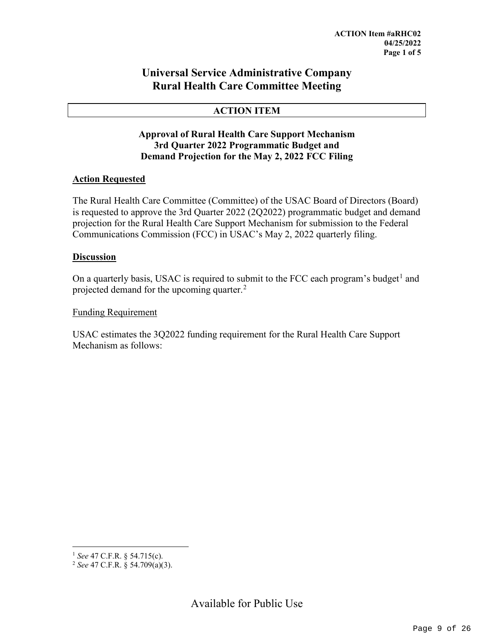#### **Universal Service Administrative Company Rural Health Care Committee Meeting**

#### **ACTION ITEM**

#### **Approval of Rural Health Care Support Mechanism 3rd Quarter 2022 Programmatic Budget and Demand Projection for the May 2, 2022 FCC Filing**

#### **Action Requested**

The Rural Health Care Committee (Committee) of the USAC Board of Directors (Board) is requested to approve the 3rd Quarter 2022 (2Q2022) programmatic budget and demand projection for the Rural Health Care Support Mechanism for submission to the Federal Communications Commission (FCC) in USAC's May 2, 2022 quarterly filing.

#### **Discussion**

On a quarterly basis, USAC is required to submit to the FCC each program's budget<sup>[1](#page-8-0)</sup> and projected demand for the upcoming quarter.<sup>[2](#page-8-1)</sup>

#### Funding Requirement

USAC estimates the 3Q2022 funding requirement for the Rural Health Care Support Mechanism as follows:

<span id="page-8-0"></span> <sup>1</sup> *See* 47 C.F.R. § 54.715(c).

<span id="page-8-1"></span><sup>2</sup> *See* 47 C.F.R. § 54.709(a)(3).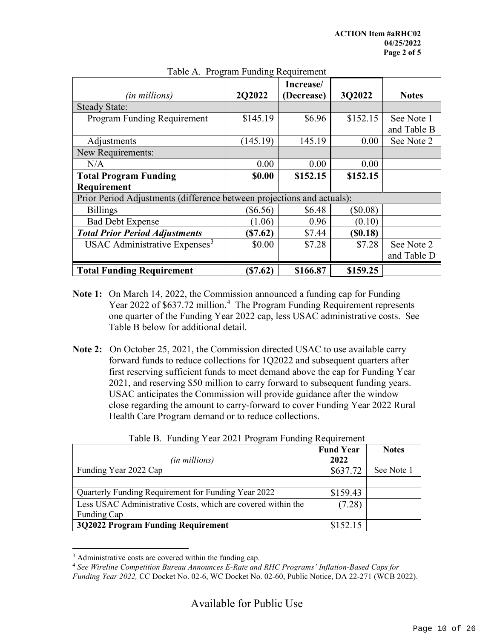|                                                                        |            | Increase/  |          |              |
|------------------------------------------------------------------------|------------|------------|----------|--------------|
| (in millions)                                                          | 2Q2022     | (Decrease) | 3Q2022   | <b>Notes</b> |
| <b>Steady State:</b>                                                   |            |            |          |              |
| Program Funding Requirement                                            | \$145.19   | \$6.96     | \$152.15 | See Note 1   |
|                                                                        |            |            |          | and Table B  |
| Adjustments                                                            | (145.19)   | 145.19     | 0.00     | See Note 2   |
| New Requirements:                                                      |            |            |          |              |
| N/A                                                                    | 0.00       | 0.00       | 0.00     |              |
| <b>Total Program Funding</b>                                           | \$0.00     | \$152.15   | \$152.15 |              |
| Requirement                                                            |            |            |          |              |
| Prior Period Adjustments (difference between projections and actuals): |            |            |          |              |
| <b>Billings</b>                                                        | $(\$6.56)$ | \$6.48     | \$0.08)  |              |
| <b>Bad Debt Expense</b>                                                | (1.06)     | 0.96       | (0.10)   |              |
| <b>Total Prior Period Adjustments</b>                                  | $(\$7.62)$ | \$7.44     | (S0.18)  |              |
| USAC Administrative Expenses <sup>3</sup>                              | \$0.00     | \$7.28     | \$7.28   | See Note 2   |
|                                                                        |            |            |          | and Table D  |
| <b>Total Funding Requirement</b>                                       | (S7.62)    | \$166.87   | \$159.25 |              |

#### Table A. Program Funding Requirement

- **Note 1:** On March 14, 2022, the Commission announced a funding cap for Funding Year 2022 of \$637.72 million.<sup>[4](#page-9-1)</sup> The Program Funding Requirement represents one quarter of the Funding Year 2022 cap, less USAC administrative costs. See Table B below for additional detail.
- **Note 2:** On October 25, 2021, the Commission directed USAC to use available carry forward funds to reduce collections for 1Q2022 and subsequent quarters after first reserving sufficient funds to meet demand above the cap for Funding Year 2021, and reserving \$50 million to carry forward to subsequent funding years. USAC anticipates the Commission will provide guidance after the window close regarding the amount to carry-forward to cover Funding Year 2022 Rural Health Care Program demand or to reduce collections.

| Tuble D. Tunding Tear 2021 Trogram I andling Requirement     |                  |              |  |  |
|--------------------------------------------------------------|------------------|--------------|--|--|
|                                                              | <b>Fund Year</b> | <b>Notes</b> |  |  |
| (in millions)                                                | 2022             |              |  |  |
| Funding Year 2022 Cap                                        | \$637.72         | See Note 1   |  |  |
|                                                              |                  |              |  |  |
| Quarterly Funding Requirement for Funding Year 2022          | \$159.43         |              |  |  |
| Less USAC Administrative Costs, which are covered within the | (7.28)           |              |  |  |
| Funding Cap                                                  |                  |              |  |  |
| 3Q2022 Program Funding Requirement                           | \$152.15         |              |  |  |

Table B. Funding Year 2021 Program Funding Requirement

<span id="page-9-0"></span><sup>&</sup>lt;sup>3</sup> Administrative costs are covered within the funding cap.

<span id="page-9-1"></span><sup>4</sup> *See Wireline Competition Bureau Announces E-Rate and RHC Programs' Inflation-Based Caps for Funding Year 2022,* CC Docket No. 02-6, WC Docket No. 02-60, Public Notice, DA 22-271 (WCB 2022).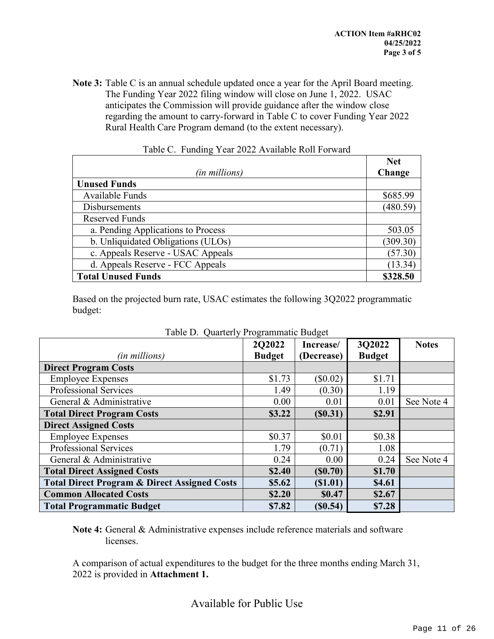**Note 3:** Table C is an annual schedule updated once a year for the April Board meeting. The Funding Year 2022 filing window will close on June 1, 2022. USAC anticipates the Commission will provide guidance after the window close regarding the amount to carry-forward in Table C to cover Funding Year 2022 Rural Health Care Program demand (to the extent necessary).

|                                    | <b>Net</b> |
|------------------------------------|------------|
| (in millions)                      | Change     |
| <b>Unused Funds</b>                |            |
| Available Funds                    | \$685.99   |
| <b>Disbursements</b>               | (480.59)   |
| <b>Reserved Funds</b>              |            |
| a. Pending Applications to Process | 503.05     |
| b. Unliquidated Obligations (ULOs) | (309.30)   |
| c. Appeals Reserve - USAC Appeals  | (57.30)    |
| d. Appeals Reserve - FCC Appeals   | (13.34)    |
| <b>Total Unused Funds</b>          | \$328.50   |

Based on the projected burn rate, USAC estimates the following 3Q2022 programmatic budget:

| Table D. Quarterly Flogrammatic Duuget                  |               |            |               |              |  |  |  |
|---------------------------------------------------------|---------------|------------|---------------|--------------|--|--|--|
|                                                         | 202022        | Increase/  | 3Q2022        | <b>Notes</b> |  |  |  |
| <i>(in millions)</i>                                    | <b>Budget</b> | (Decrease) | <b>Budget</b> |              |  |  |  |
| <b>Direct Program Costs</b>                             |               |            |               |              |  |  |  |
| <b>Employee Expenses</b>                                | \$1.73        | $(\$0.02)$ | \$1.71        |              |  |  |  |
| <b>Professional Services</b>                            | 1.49          | (0.30)     | 1.19          |              |  |  |  |
| General & Administrative                                | 0.00          | 0.01       | 0.01          | See Note 4   |  |  |  |
| <b>Total Direct Program Costs</b>                       | \$3.22        | (S0.31)    | \$2.91        |              |  |  |  |
| <b>Direct Assigned Costs</b>                            |               |            |               |              |  |  |  |
| <b>Employee Expenses</b>                                | \$0.37        | \$0.01     | \$0.38        |              |  |  |  |
| <b>Professional Services</b>                            | 1.79          | (0.71)     | 1.08          |              |  |  |  |
| General & Administrative                                | 0.24          | 0.00       | 0.24          | See Note 4   |  |  |  |
| <b>Total Direct Assigned Costs</b>                      | \$2.40        | (S0.70)    | \$1.70        |              |  |  |  |
| <b>Total Direct Program &amp; Direct Assigned Costs</b> | \$5.62        | (S1.01)    | \$4.61        |              |  |  |  |
| <b>Common Allocated Costs</b>                           | \$2.20        | \$0.47     | \$2.67        |              |  |  |  |
| <b>Total Programmatic Budget</b>                        | \$7.82        | (S0.54)    | \$7.28        |              |  |  |  |

Table D. Quarterly Programmatic Budget

**Note 4:** General & Administrative expenses include reference materials and software licenses.

A comparison of actual expenditures to the budget for the three months ending March 31, 2022 is provided in **Attachment 1.**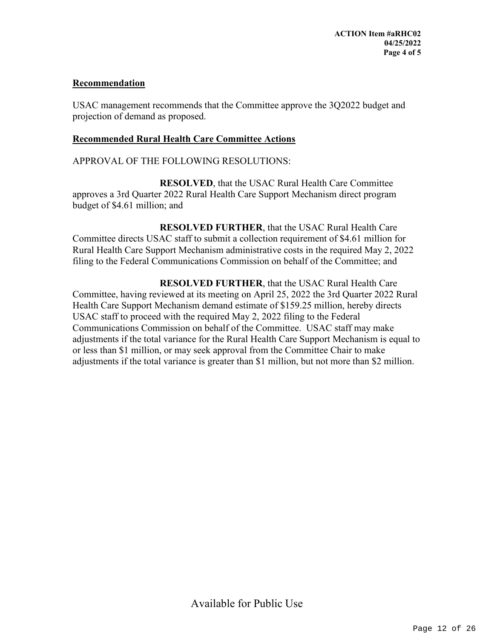#### **Recommendation**

USAC management recommends that the Committee approve the 3Q2022 budget and projection of demand as proposed.

#### **Recommended Rural Health Care Committee Actions**

APPROVAL OF THE FOLLOWING RESOLUTIONS:

**RESOLVED**, that the USAC Rural Health Care Committee approves a 3rd Quarter 2022 Rural Health Care Support Mechanism direct program budget of \$4.61 million; and

**RESOLVED FURTHER**, that the USAC Rural Health Care Committee directs USAC staff to submit a collection requirement of \$4.61 million for Rural Health Care Support Mechanism administrative costs in the required May 2, 2022 filing to the Federal Communications Commission on behalf of the Committee; and

**RESOLVED FURTHER**, that the USAC Rural Health Care Committee, having reviewed at its meeting on April 25, 2022 the 3rd Quarter 2022 Rural Health Care Support Mechanism demand estimate of \$159.25 million, hereby directs USAC staff to proceed with the required May 2, 2022 filing to the Federal Communications Commission on behalf of the Committee. USAC staff may make adjustments if the total variance for the Rural Health Care Support Mechanism is equal to or less than \$1 million, or may seek approval from the Committee Chair to make adjustments if the total variance is greater than \$1 million, but not more than \$2 million.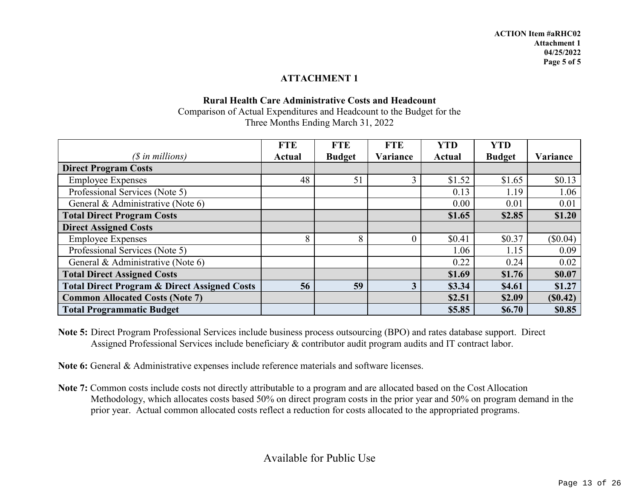#### **ATTACHMENT 1**

#### **Rural Health Care Administrative Costs and Headcount** Comparison of Actual Expenditures and Headcount to the Budget for the Three Months Ending March 31, 2022

|                                                         | <b>FTE</b> | <b>FTE</b>    | <b>FTE</b> | <b>YTD</b>    | <b>YTD</b>    |          |
|---------------------------------------------------------|------------|---------------|------------|---------------|---------------|----------|
| $(S \in$ in millions)                                   | Actual     | <b>Budget</b> | Variance   | <b>Actual</b> | <b>Budget</b> | Variance |
| <b>Direct Program Costs</b>                             |            |               |            |               |               |          |
| <b>Employee Expenses</b>                                | 48         | 51            |            | \$1.52        | \$1.65        | \$0.13   |
| Professional Services (Note 5)                          |            |               |            | 0.13          | 1.19          | 1.06     |
| General & Administrative (Note 6)                       |            |               |            | 0.00          | 0.01          | 0.01     |
| <b>Total Direct Program Costs</b>                       |            |               |            | \$1.65        | \$2.85        | \$1.20   |
| <b>Direct Assigned Costs</b>                            |            |               |            |               |               |          |
| <b>Employee Expenses</b>                                | 8          | 8             |            | \$0.41        | \$0.37        | (\$0.04) |
| Professional Services (Note 5)                          |            |               |            | 1.06          | 1.15          | 0.09     |
| General & Administrative (Note 6)                       |            |               |            | 0.22          | 0.24          | 0.02     |
| <b>Total Direct Assigned Costs</b>                      |            |               |            | \$1.69        | \$1.76        | \$0.07   |
| <b>Total Direct Program &amp; Direct Assigned Costs</b> | 56         | 59            | 3          | \$3.34        | \$4.61        | \$1.27   |
| <b>Common Allocated Costs (Note 7)</b>                  |            |               |            | \$2.51        | \$2.09        | (S0.42)  |
| <b>Total Programmatic Budget</b>                        |            |               |            | \$5.85        | \$6.70        | \$0.85   |

**Note 5:** Direct Program Professional Services include business process outsourcing (BPO) and rates database support. Direct Assigned Professional Services include beneficiary & contributor audit program audits and IT contract labor.

**Note 6:** General & Administrative expenses include reference materials and software licenses.

**Note 7:** Common costs include costs not directly attributable to a program and are allocated based on the Cost Allocation Methodology, which allocates costs based 50% on direct program costs in the prior year and 50% on program demand in the prior year. Actual common allocated costs reflect a reduction for costs allocated to the appropriated programs.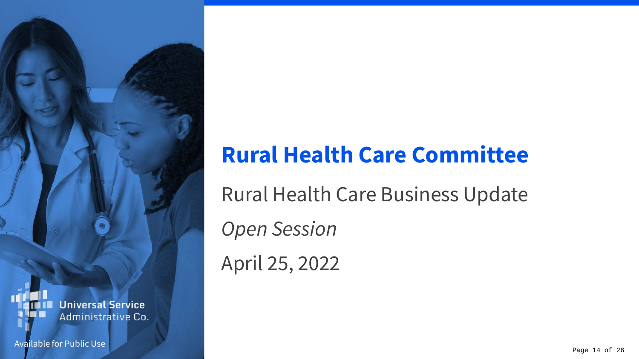### **Universal Service** Administrative Co.

Available for Public Use

### **Rural Health Care Committee**

Rural Health Care Business Update

*Open Session*

April 25, 2022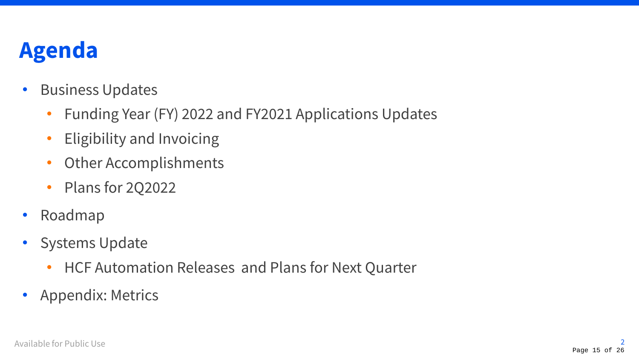### **Agenda**

- Business Updates
	- Funding Year (FY) 2022 and FY2021 Applications Updates
	- Eligibility and Invoicing
	- Other Accomplishments
	- Plans for 2Q2022
- Roadmap
- Systems Update
	- HCF Automation Releases and Plans for Next Quarter
- Appendix: Metrics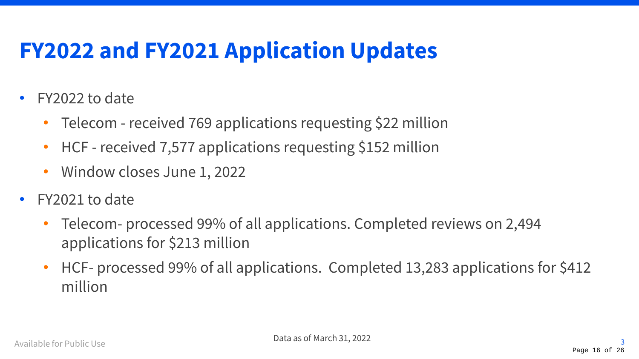### **FY2022 and FY2021 Application Updates**

- FY2022 to date
	- Telecom received 769 applications requesting \$22 million
	- HCF received 7,577 applications requesting \$152 million
	- Window closes June 1, 2022
- FY2021 to date
	- Telecom- processed 99% of all applications. Completed reviews on 2,494 applications for \$213 million
	- HCF- processed 99% of all applications. Completed 13,283 applications for \$412 million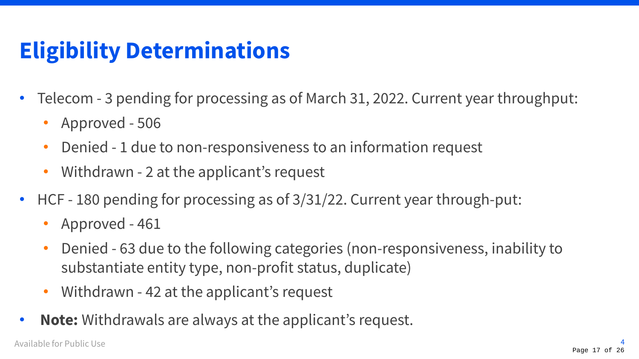### **Eligibility Determinations**

- Telecom 3 pending for processing as of March 31, 2022. Current year throughput:
	- Approved 506
	- Denied 1 due to non-responsiveness to an information request
	- Withdrawn 2 at the applicant's request
- HCF 180 pending for processing as of 3/31/22. Current year through-put:
	- Approved 461
	- Denied 63 due to the following categories (non-responsiveness, inability to substantiate entity type, non-profit status, duplicate)
	- Withdrawn 42 at the applicant's request
- **Note:** Withdrawals are always at the applicant's request.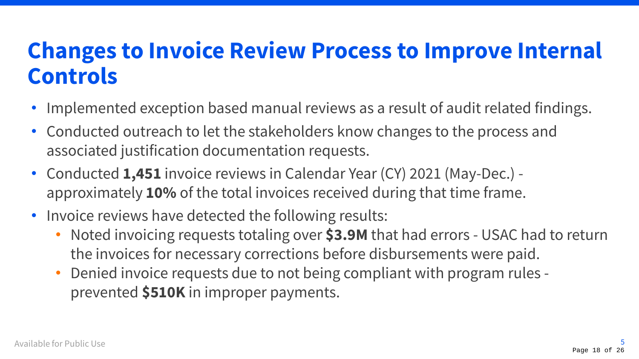### **Changes to Invoice Review Process to Improve Internal Controls**

- Implemented exception based manual reviews as a result of audit related findings.
- Conducted outreach to let the stakeholders know changes to the process and associated justification documentation requests.
- Conducted **1,451** invoice reviews in Calendar Year (CY) 2021 (May-Dec.) approximately **10%** of the total invoices received during that time frame.
- Invoice reviews have detected the following results:
	- Noted invoicing requests totaling over **\$3.9M** that had errors USAC had to return the invoices for necessary corrections before disbursements were paid.
	- Denied invoice requests due to not being compliant with program rules prevented **\$510K** in improper payments.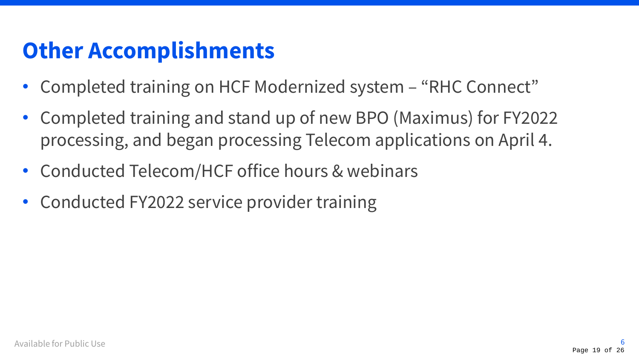### **Other Accomplishments**

- Completed training on HCF Modernized system "RHC Connect"
- Completed training and stand up of new BPO (Maximus) for FY2022 processing, and began processing Telecom applications on April 4.
- Conducted Telecom/HCF office hours & webinars
- Conducted FY2022 service provider training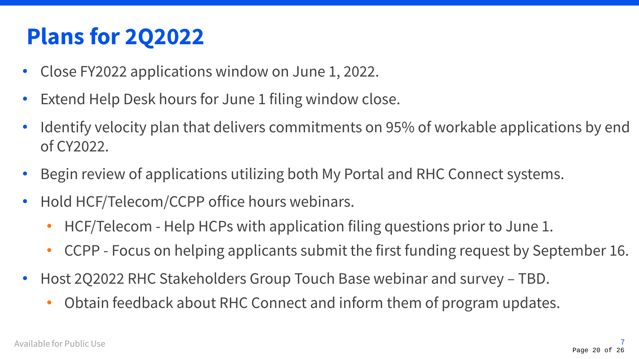### **Plans for 2Q2022**

- Close FY2022 applications window on June 1, 2022.
- Extend Help Desk hours for June 1 filing window close.
- Identify velocity plan that delivers commitments on 95% of workable applications by end of CY2022.
- Begin review of applications utilizing both My Portal and RHC Connect systems.
- Hold HCF/Telecom/CCPP office hours webinars.
	- HCF/Telecom Help HCPs with application filing questions prior to June 1.
	- CCPP Focus on helping applicants submit the first funding request by September 16.
- Host 2Q2022 RHC Stakeholders Group Touch Base webinar and survey TBD.
	- Obtain feedback about RHC Connect and inform them of program updates.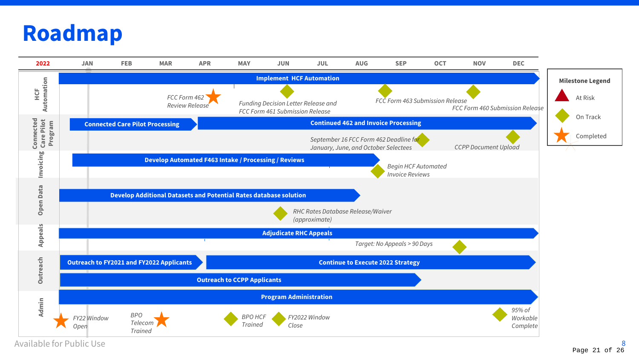### **Roadmap**



Available for Public Use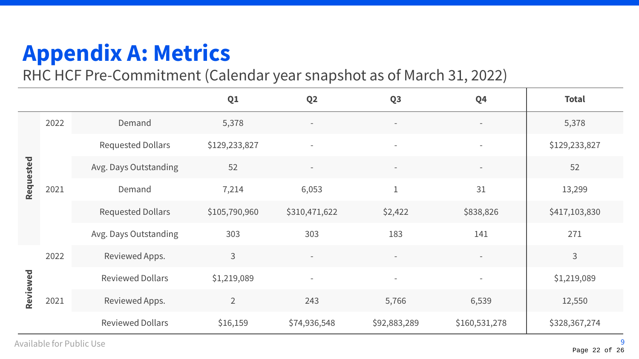# **Appendix A: Metrics**

RHC HCF Pre-Commitment (Calendar year snapshot as of March 31, 2022)

|           |      |                          | Q1             | Q <sub>2</sub>           | Q <sub>3</sub>           | Q <sub>4</sub>           | <b>Total</b>  |
|-----------|------|--------------------------|----------------|--------------------------|--------------------------|--------------------------|---------------|
| Requested | 2022 | Demand                   | 5,378          |                          | $\overline{\phantom{a}}$ | $\overline{\phantom{a}}$ | 5,378         |
|           | 2021 | <b>Requested Dollars</b> | \$129,233,827  | $\overline{\phantom{a}}$ | $\overline{\phantom{a}}$ | $\overline{\phantom{a}}$ | \$129,233,827 |
|           |      | Avg. Days Outstanding    | 52             | $\overline{\phantom{a}}$ | $\overline{\phantom{a}}$ | $\overline{\phantom{a}}$ | 52            |
|           |      | Demand                   | 7,214          | 6,053                    | $\mathbf 1$              | 31                       | 13,299        |
|           |      | <b>Requested Dollars</b> | \$105,790,960  | \$310,471,622            | \$2,422                  | \$838,826                | \$417,103,830 |
|           |      | Avg. Days Outstanding    | 303            | 303                      | 183                      | 141                      | 271           |
|           | 2022 | Reviewed Apps.           | $\mathsf{3}$   |                          | $\overline{\phantom{a}}$ |                          | 3             |
|           |      | <b>Reviewed Dollars</b>  | \$1,219,089    | $\overline{\phantom{a}}$ | $\overline{\phantom{a}}$ | $\overline{\phantom{a}}$ | \$1,219,089   |
| Reviewed  | 2021 | Reviewed Apps.           | $\overline{2}$ | 243                      | 5,766                    | 6,539                    | 12,550        |
|           |      | <b>Reviewed Dollars</b>  | \$16,159       | \$74,936,548             | \$92,883,289             | \$160,531,278            | \$328,367,274 |

Available for Public Use 2014 2014 2015 2016 2017 2022 2023 2024 2024 2022 2023 2024 2022 2023 2024 2027 2027 20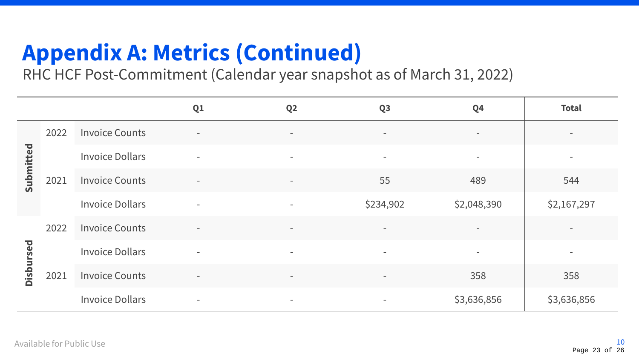# **Appendix A: Metrics (Continued)**

RHC HCF Post-Commitment (Calendar year snapshot as of March 31, 2022)

|                  |      |                        | Q1                       | Q <sub>2</sub>           | Q <sub>3</sub>           | Q <sub>4</sub>           | <b>Total</b> |
|------------------|------|------------------------|--------------------------|--------------------------|--------------------------|--------------------------|--------------|
| Submitted        | 2022 | <b>Invoice Counts</b>  | $\overline{\phantom{a}}$ | $\overline{\phantom{a}}$ | $\overline{\phantom{a}}$ | $\overline{\phantom{a}}$ | $\,$ $\,$    |
|                  | 2021 | <b>Invoice Dollars</b> | $\overline{\phantom{a}}$ | $\overline{\phantom{a}}$ | $\sim$                   | $\overline{\phantom{a}}$ |              |
|                  |      | <b>Invoice Counts</b>  | $\overline{\phantom{a}}$ | $\overline{\phantom{a}}$ | 55                       | 489                      | 544          |
|                  |      | <b>Invoice Dollars</b> | $\overline{\phantom{a}}$ | $\overline{\phantom{a}}$ | \$234,902                | \$2,048,390              | \$2,167,297  |
| <b>Disbursed</b> | 2022 | <b>Invoice Counts</b>  | $\bar{a}$                | $\sim$                   | $\overline{\phantom{a}}$ | $\sim$                   |              |
|                  | 2021 | <b>Invoice Dollars</b> | $\overline{\phantom{a}}$ | $\overline{\phantom{a}}$ | $\sim$                   | $\sim$                   |              |
|                  |      | <b>Invoice Counts</b>  | $\overline{\phantom{a}}$ | $\overline{\phantom{a}}$ | $\sim$                   | 358                      | 358          |
|                  |      | <b>Invoice Dollars</b> | $\overline{\phantom{a}}$ | $\overline{\phantom{a}}$ | $\overline{\phantom{a}}$ | \$3,636,856              | \$3,636,856  |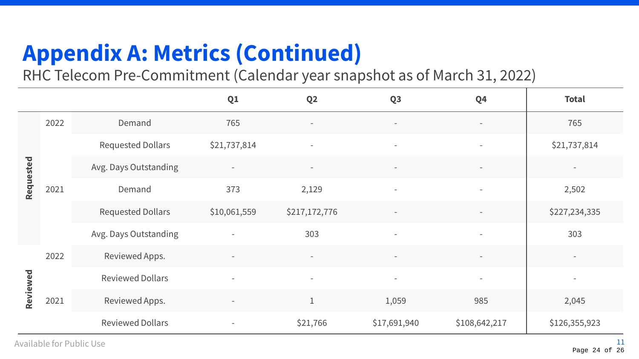# **Appendix A: Metrics (Continued)**

RHC Telecom Pre-Commitment (Calendar year snapshot as of March 31, 2022)

|           |      |                          | Q <sub>1</sub>           | Q <sub>2</sub>           | Q <sub>3</sub>           | Q <sub>4</sub>           | <b>Total</b>             |
|-----------|------|--------------------------|--------------------------|--------------------------|--------------------------|--------------------------|--------------------------|
| Requested | 2022 | Demand                   | 765                      | $\overline{\phantom{a}}$ | $\overline{\phantom{a}}$ | $\overline{\phantom{a}}$ | 765                      |
|           |      | <b>Requested Dollars</b> | \$21,737,814             | $\overline{\phantom{a}}$ | $\overline{\phantom{a}}$ | $\sim$                   | \$21,737,814             |
|           | 2021 | Avg. Days Outstanding    | $\overline{\phantom{a}}$ | $\overline{\phantom{a}}$ | $\overline{\phantom{a}}$ | $\overline{\phantom{a}}$ |                          |
|           |      | Demand                   | 373                      | 2,129                    | ٠                        | $\overline{\phantom{a}}$ | 2,502                    |
|           |      | <b>Requested Dollars</b> | \$10,061,559             | \$217,172,776            |                          |                          | \$227,234,335            |
|           |      | Avg. Days Outstanding    |                          | 303                      | $\overline{\phantom{a}}$ | $\overline{\phantom{a}}$ | 303                      |
|           | 2022 | Reviewed Apps.           |                          |                          | $\equiv$                 |                          |                          |
|           |      | <b>Reviewed Dollars</b>  | $\overline{\phantom{a}}$ | $\overline{\phantom{a}}$ | $\overline{\phantom{a}}$ | $\overline{\phantom{a}}$ | $\overline{\phantom{a}}$ |
| Reviewed  | 2021 | Reviewed Apps.           | $\overline{\phantom{a}}$ | $\mathbf 1$              | 1,059                    | 985                      | 2,045                    |
|           |      | <b>Reviewed Dollars</b>  | $\overline{\phantom{a}}$ | \$21,766                 | \$17,691,940             | \$108,642,217            | \$126,355,923            |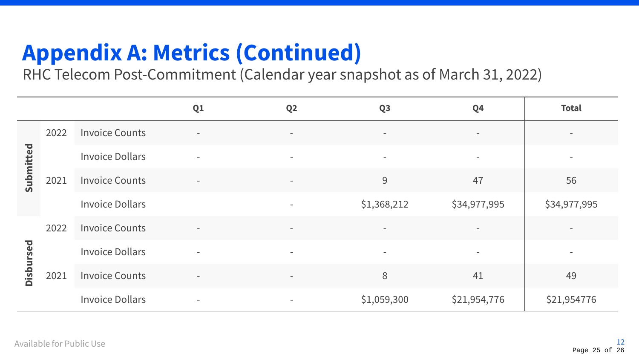# **Appendix A: Metrics (Continued)**

RHC Telecom Post-Commitment (Calendar year snapshot as of March 31, 2022)

|           |      |                        | Q1                       | Q <sub>2</sub>           | Q <sub>3</sub>           | Q <sub>4</sub>           | <b>Total</b>             |
|-----------|------|------------------------|--------------------------|--------------------------|--------------------------|--------------------------|--------------------------|
| Submitted | 2022 | <b>Invoice Counts</b>  | $\overline{\phantom{a}}$ | $\overline{\phantom{a}}$ | $\overline{\phantom{a}}$ | $\overline{\phantom{a}}$ | $\overline{\phantom{a}}$ |
|           |      | <b>Invoice Dollars</b> | $\sim$                   | $\overline{\phantom{a}}$ | $\sim$                   | $\overline{\phantom{a}}$ | $\overline{\phantom{a}}$ |
|           | 2021 | <b>Invoice Counts</b>  | $\overline{\phantom{a}}$ | $\overline{\phantom{a}}$ | 9                        | 47                       | 56                       |
|           |      | <b>Invoice Dollars</b> |                          | $\overline{\phantom{a}}$ | \$1,368,212              | \$34,977,995             | \$34,977,995             |
| Disbursed | 2022 | <b>Invoice Counts</b>  | $\bar{a}$                | $\overline{\phantom{a}}$ | $\sim$                   | $\equiv$                 |                          |
|           | 2021 | <b>Invoice Dollars</b> | $\overline{\phantom{a}}$ | $\overline{\phantom{a}}$ | $\sim$                   | $\sim$                   | $\equiv$                 |
|           |      | <b>Invoice Counts</b>  | $\overline{\phantom{m}}$ | $\overline{\phantom{a}}$ | 8                        | 41                       | 49                       |
|           |      | <b>Invoice Dollars</b> | $\overline{\phantom{a}}$ | $\overline{\phantom{a}}$ | \$1,059,300              | \$21,954,776             | \$21,954776              |